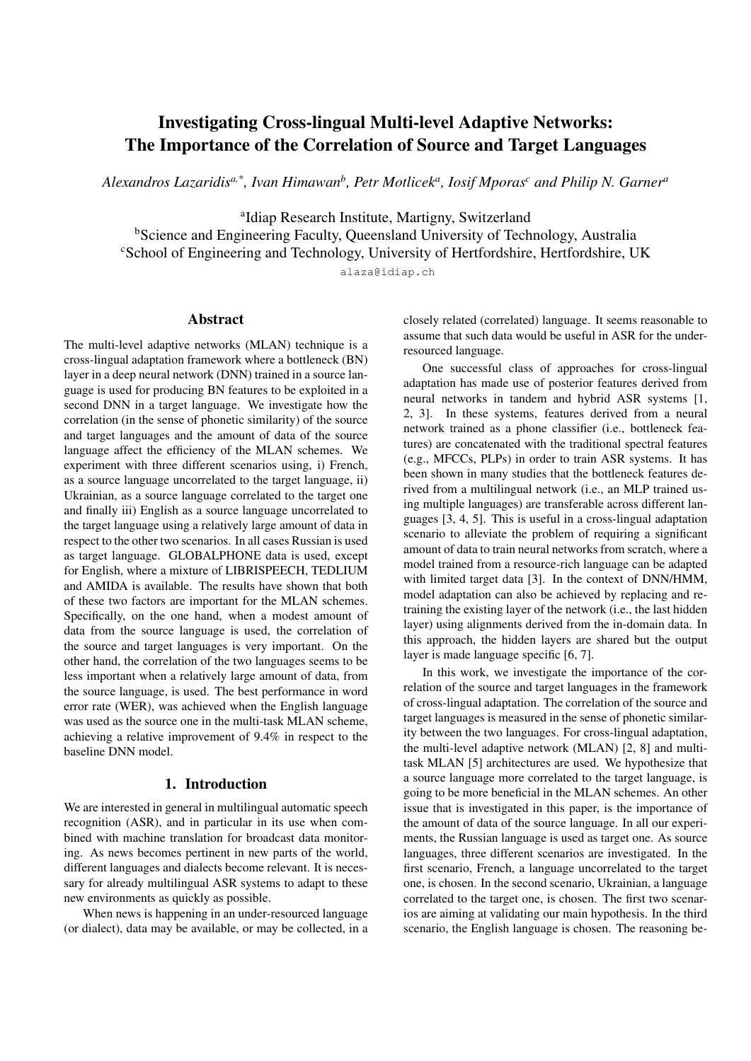# Investigating Cross-lingual Multi-level Adaptive Networks: The Importance of the Correlation of Source and Target Languages

*Alexandros Lazaridisa,\*, Ivan Himawan<sup>b</sup> , Petr Motlicek<sup>a</sup> , Iosif Mporas<sup>c</sup> and Philip N. Garner<sup>a</sup>*

a Idiap Research Institute, Martigny, Switzerland **bScience and Engineering Faculty, Queensland University of Technology, Australia** <sup>c</sup>School of Engineering and Technology, University of Hertfordshire, Hertfordshire, UK

alaza@idiap.ch

### Abstract

The multi-level adaptive networks (MLAN) technique is a cross-lingual adaptation framework where a bottleneck (BN) layer in a deep neural network (DNN) trained in a source language is used for producing BN features to be exploited in a second DNN in a target language. We investigate how the correlation (in the sense of phonetic similarity) of the source and target languages and the amount of data of the source language affect the efficiency of the MLAN schemes. We experiment with three different scenarios using, i) French, as a source language uncorrelated to the target language, ii) Ukrainian, as a source language correlated to the target one and finally iii) English as a source language uncorrelated to the target language using a relatively large amount of data in respect to the other two scenarios. In all cases Russian is used as target language. GLOBALPHONE data is used, except for English, where a mixture of LIBRISPEECH, TEDLIUM and AMIDA is available. The results have shown that both of these two factors are important for the MLAN schemes. Specifically, on the one hand, when a modest amount of data from the source language is used, the correlation of the source and target languages is very important. On the other hand, the correlation of the two languages seems to be less important when a relatively large amount of data, from the source language, is used. The best performance in word error rate (WER), was achieved when the English language was used as the source one in the multi-task MLAN scheme, achieving a relative improvement of 9.4% in respect to the baseline DNN model.

# 1. Introduction

We are interested in general in multilingual automatic speech recognition (ASR), and in particular in its use when combined with machine translation for broadcast data monitoring. As news becomes pertinent in new parts of the world, different languages and dialects become relevant. It is necessary for already multilingual ASR systems to adapt to these new environments as quickly as possible.

When news is happening in an under-resourced language (or dialect), data may be available, or may be collected, in a closely related (correlated) language. It seems reasonable to assume that such data would be useful in ASR for the underresourced language.

One successful class of approaches for cross-lingual adaptation has made use of posterior features derived from neural networks in tandem and hybrid ASR systems [1, 2, 3]. In these systems, features derived from a neural network trained as a phone classifier (i.e., bottleneck features) are concatenated with the traditional spectral features (e.g., MFCCs, PLPs) in order to train ASR systems. It has been shown in many studies that the bottleneck features derived from a multilingual network (i.e., an MLP trained using multiple languages) are transferable across different languages [3, 4, 5]. This is useful in a cross-lingual adaptation scenario to alleviate the problem of requiring a significant amount of data to train neural networks from scratch, where a model trained from a resource-rich language can be adapted with limited target data [3]. In the context of DNN/HMM, model adaptation can also be achieved by replacing and retraining the existing layer of the network (i.e., the last hidden layer) using alignments derived from the in-domain data. In this approach, the hidden layers are shared but the output layer is made language specific [6, 7].

In this work, we investigate the importance of the correlation of the source and target languages in the framework of cross-lingual adaptation. The correlation of the source and target languages is measured in the sense of phonetic similarity between the two languages. For cross-lingual adaptation, the multi-level adaptive network (MLAN) [2, 8] and multitask MLAN [5] architectures are used. We hypothesize that a source language more correlated to the target language, is going to be more beneficial in the MLAN schemes. An other issue that is investigated in this paper, is the importance of the amount of data of the source language. In all our experiments, the Russian language is used as target one. As source languages, three different scenarios are investigated. In the first scenario, French, a language uncorrelated to the target one, is chosen. In the second scenario, Ukrainian, a language correlated to the target one, is chosen. The first two scenarios are aiming at validating our main hypothesis. In the third scenario, the English language is chosen. The reasoning be-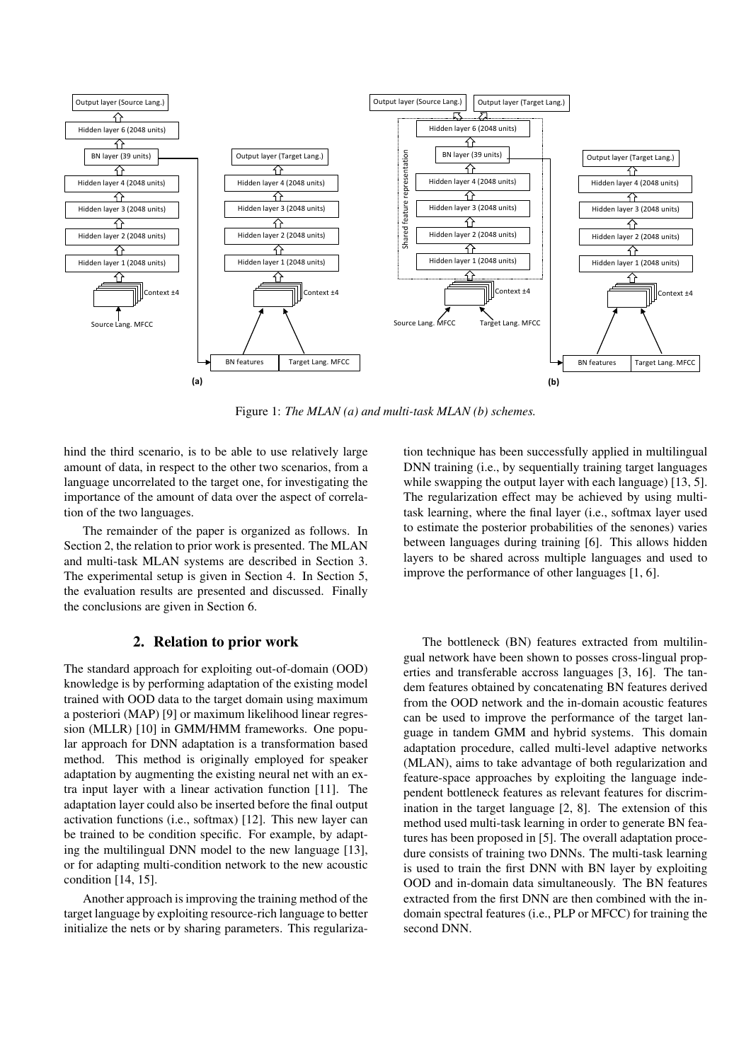

Figure 1: *The MLAN (a) and multi-task MLAN (b) schemes.*

hind the third scenario, is to be able to use relatively large amount of data, in respect to the other two scenarios, from a language uncorrelated to the target one, for investigating the importance of the amount of data over the aspect of correlation of the two languages.

The remainder of the paper is organized as follows. In Section 2, the relation to prior work is presented. The MLAN and multi-task MLAN systems are described in Section 3. The experimental setup is given in Section 4. In Section 5, the evaluation results are presented and discussed. Finally the conclusions are given in Section 6.

#### 2. Relation to prior work

The standard approach for exploiting out-of-domain (OOD) knowledge is by performing adaptation of the existing model trained with OOD data to the target domain using maximum a posteriori (MAP) [9] or maximum likelihood linear regression (MLLR) [10] in GMM/HMM frameworks. One popular approach for DNN adaptation is a transformation based method. This method is originally employed for speaker adaptation by augmenting the existing neural net with an extra input layer with a linear activation function [11]. The adaptation layer could also be inserted before the final output activation functions (i.e., softmax) [12]. This new layer can be trained to be condition specific. For example, by adapting the multilingual DNN model to the new language [13], or for adapting multi-condition network to the new acoustic condition [14, 15].

Another approach is improving the training method of the target language by exploiting resource-rich language to better initialize the nets or by sharing parameters. This regularization technique has been successfully applied in multilingual DNN training (i.e., by sequentially training target languages while swapping the output layer with each language) [13, 5]. The regularization effect may be achieved by using multitask learning, where the final layer (i.e., softmax layer used to estimate the posterior probabilities of the senones) varies between languages during training [6]. This allows hidden layers to be shared across multiple languages and used to improve the performance of other languages [1, 6].

The bottleneck (BN) features extracted from multilingual network have been shown to posses cross-lingual properties and transferable accross languages [3, 16]. The tandem features obtained by concatenating BN features derived from the OOD network and the in-domain acoustic features can be used to improve the performance of the target language in tandem GMM and hybrid systems. This domain adaptation procedure, called multi-level adaptive networks (MLAN), aims to take advantage of both regularization and feature-space approaches by exploiting the language independent bottleneck features as relevant features for discrimination in the target language [2, 8]. The extension of this method used multi-task learning in order to generate BN features has been proposed in [5]. The overall adaptation procedure consists of training two DNNs. The multi-task learning is used to train the first DNN with BN layer by exploiting OOD and in-domain data simultaneously. The BN features extracted from the first DNN are then combined with the indomain spectral features (i.e., PLP or MFCC) for training the second DNN.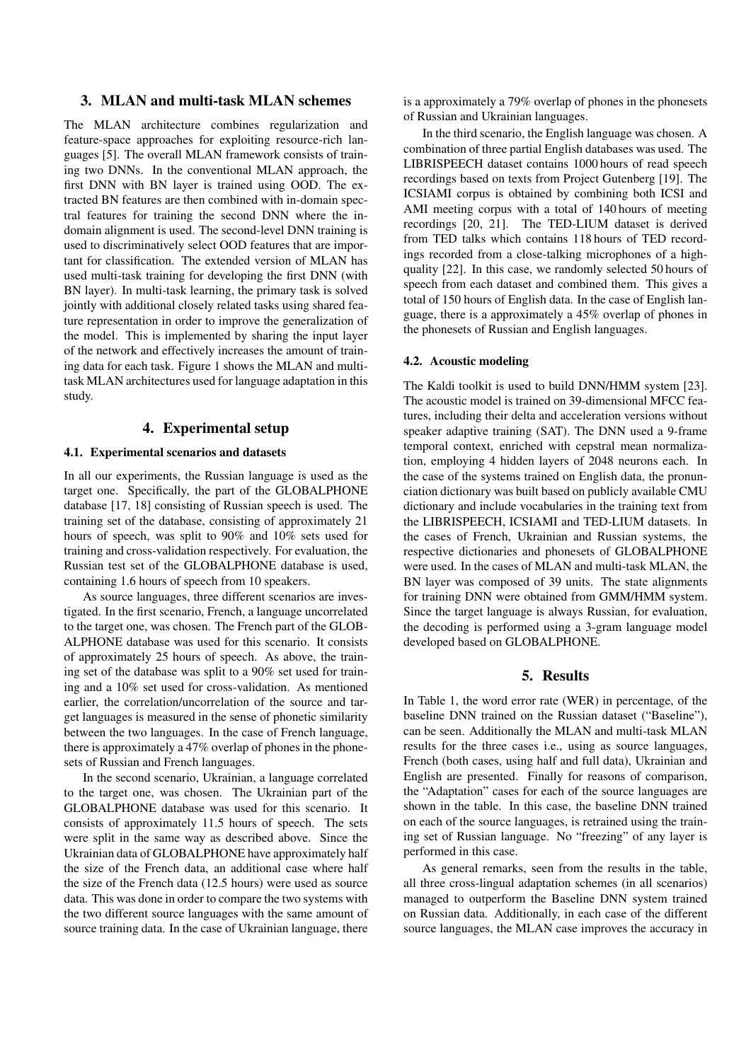# 3. MLAN and multi-task MLAN schemes

The MLAN architecture combines regularization and feature-space approaches for exploiting resource-rich languages [5]. The overall MLAN framework consists of training two DNNs. In the conventional MLAN approach, the first DNN with BN layer is trained using OOD. The extracted BN features are then combined with in-domain spectral features for training the second DNN where the indomain alignment is used. The second-level DNN training is used to discriminatively select OOD features that are important for classification. The extended version of MLAN has used multi-task training for developing the first DNN (with BN layer). In multi-task learning, the primary task is solved jointly with additional closely related tasks using shared feature representation in order to improve the generalization of the model. This is implemented by sharing the input layer of the network and effectively increases the amount of training data for each task. Figure 1 shows the MLAN and multitask MLAN architectures used for language adaptation in this study.

# 4. Experimental setup

#### 4.1. Experimental scenarios and datasets

In all our experiments, the Russian language is used as the target one. Specifically, the part of the GLOBALPHONE database [17, 18] consisting of Russian speech is used. The training set of the database, consisting of approximately 21 hours of speech, was split to 90% and 10% sets used for training and cross-validation respectively. For evaluation, the Russian test set of the GLOBALPHONE database is used, containing 1.6 hours of speech from 10 speakers.

As source languages, three different scenarios are investigated. In the first scenario, French, a language uncorrelated to the target one, was chosen. The French part of the GLOB-ALPHONE database was used for this scenario. It consists of approximately 25 hours of speech. As above, the training set of the database was split to a 90% set used for training and a 10% set used for cross-validation. As mentioned earlier, the correlation/uncorrelation of the source and target languages is measured in the sense of phonetic similarity between the two languages. In the case of French language, there is approximately a 47% overlap of phones in the phonesets of Russian and French languages.

In the second scenario, Ukrainian, a language correlated to the target one, was chosen. The Ukrainian part of the GLOBALPHONE database was used for this scenario. It consists of approximately 11.5 hours of speech. The sets were split in the same way as described above. Since the Ukrainian data of GLOBALPHONE have approximately half the size of the French data, an additional case where half the size of the French data (12.5 hours) were used as source data. This was done in order to compare the two systems with the two different source languages with the same amount of source training data. In the case of Ukrainian language, there

is a approximately a 79% overlap of phones in the phonesets of Russian and Ukrainian languages.

In the third scenario, the English language was chosen. A combination of three partial English databases was used. The LIBRISPEECH dataset contains 1000 hours of read speech recordings based on texts from Project Gutenberg [19]. The ICSIAMI corpus is obtained by combining both ICSI and AMI meeting corpus with a total of 140 hours of meeting recordings [20, 21]. The TED-LIUM dataset is derived from TED talks which contains 118 hours of TED recordings recorded from a close-talking microphones of a highquality [22]. In this case, we randomly selected 50 hours of speech from each dataset and combined them. This gives a total of 150 hours of English data. In the case of English language, there is a approximately a 45% overlap of phones in the phonesets of Russian and English languages.

#### 4.2. Acoustic modeling

The Kaldi toolkit is used to build DNN/HMM system [23]. The acoustic model is trained on 39-dimensional MFCC features, including their delta and acceleration versions without speaker adaptive training (SAT). The DNN used a 9-frame temporal context, enriched with cepstral mean normalization, employing 4 hidden layers of 2048 neurons each. In the case of the systems trained on English data, the pronunciation dictionary was built based on publicly available CMU dictionary and include vocabularies in the training text from the LIBRISPEECH, ICSIAMI and TED-LIUM datasets. In the cases of French, Ukrainian and Russian systems, the respective dictionaries and phonesets of GLOBALPHONE were used. In the cases of MLAN and multi-task MLAN, the BN layer was composed of 39 units. The state alignments for training DNN were obtained from GMM/HMM system. Since the target language is always Russian, for evaluation, the decoding is performed using a 3-gram language model developed based on GLOBALPHONE.

#### 5. Results

In Table 1, the word error rate (WER) in percentage, of the baseline DNN trained on the Russian dataset ("Baseline"), can be seen. Additionally the MLAN and multi-task MLAN results for the three cases i.e., using as source languages, French (both cases, using half and full data), Ukrainian and English are presented. Finally for reasons of comparison, the "Adaptation" cases for each of the source languages are shown in the table. In this case, the baseline DNN trained on each of the source languages, is retrained using the training set of Russian language. No "freezing" of any layer is performed in this case.

As general remarks, seen from the results in the table, all three cross-lingual adaptation schemes (in all scenarios) managed to outperform the Baseline DNN system trained on Russian data. Additionally, in each case of the different source languages, the MLAN case improves the accuracy in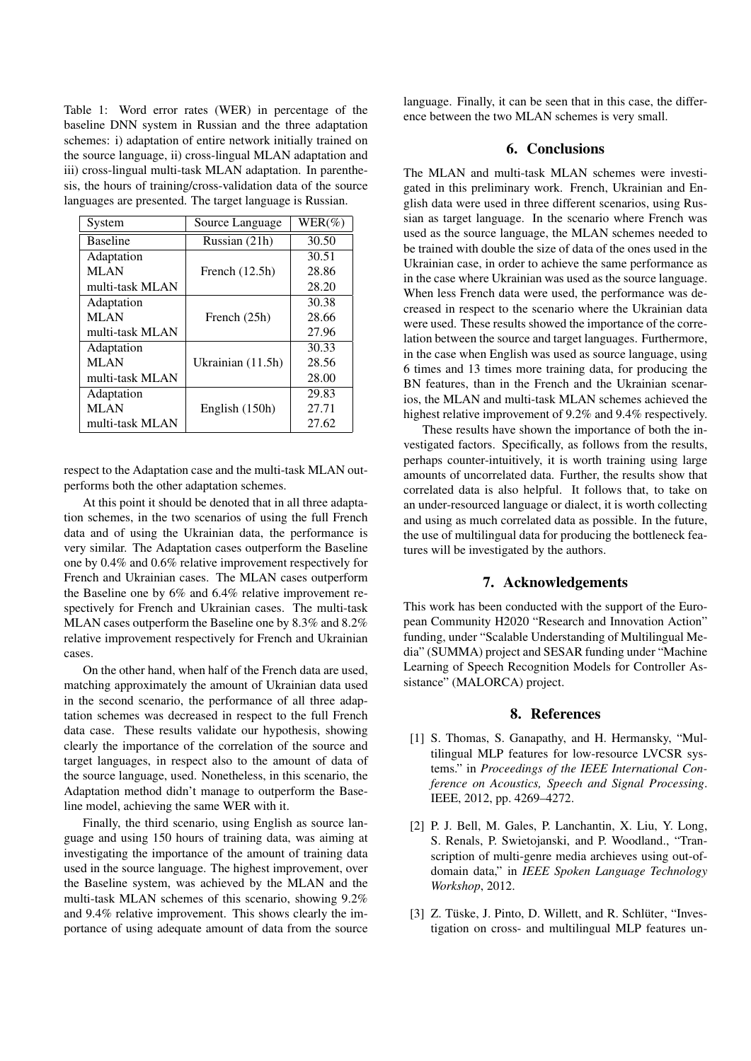Table 1: Word error rates (WER) in percentage of the baseline DNN system in Russian and the three adaptation schemes: i) adaptation of entire network initially trained on the source language, ii) cross-lingual MLAN adaptation and iii) cross-lingual multi-task MLAN adaptation. In parenthesis, the hours of training/cross-validation data of the source languages are presented. The target language is Russian.

| System          | Source Language   | $WER(\%)$ |
|-----------------|-------------------|-----------|
| <b>Baseline</b> | Russian (21h)     | 30.50     |
| Adaptation      |                   | 30.51     |
| <b>MLAN</b>     | French $(12.5h)$  | 28.86     |
| multi-task MLAN |                   | 28.20     |
| Adaptation      |                   | 30.38     |
| <b>MLAN</b>     | French (25h)      | 28.66     |
| multi-task MLAN |                   | 27.96     |
| Adaptation      |                   | 30.33     |
| <b>MLAN</b>     | Ukrainian (11.5h) | 28.56     |
| multi-task MLAN |                   | 28.00     |
| Adaptation      |                   | 29.83     |
| <b>MLAN</b>     | English (150h)    | 27.71     |
| multi-task MLAN |                   | 27.62     |

respect to the Adaptation case and the multi-task MLAN outperforms both the other adaptation schemes.

At this point it should be denoted that in all three adaptation schemes, in the two scenarios of using the full French data and of using the Ukrainian data, the performance is very similar. The Adaptation cases outperform the Baseline one by 0.4% and 0.6% relative improvement respectively for French and Ukrainian cases. The MLAN cases outperform the Baseline one by 6% and 6.4% relative improvement respectively for French and Ukrainian cases. The multi-task MLAN cases outperform the Baseline one by 8.3% and 8.2% relative improvement respectively for French and Ukrainian cases.

On the other hand, when half of the French data are used, matching approximately the amount of Ukrainian data used in the second scenario, the performance of all three adaptation schemes was decreased in respect to the full French data case. These results validate our hypothesis, showing clearly the importance of the correlation of the source and target languages, in respect also to the amount of data of the source language, used. Nonetheless, in this scenario, the Adaptation method didn't manage to outperform the Baseline model, achieving the same WER with it.

Finally, the third scenario, using English as source language and using 150 hours of training data, was aiming at investigating the importance of the amount of training data used in the source language. The highest improvement, over the Baseline system, was achieved by the MLAN and the multi-task MLAN schemes of this scenario, showing 9.2% and 9.4% relative improvement. This shows clearly the importance of using adequate amount of data from the source language. Finally, it can be seen that in this case, the difference between the two MLAN schemes is very small.

# 6. Conclusions

The MLAN and multi-task MLAN schemes were investigated in this preliminary work. French, Ukrainian and English data were used in three different scenarios, using Russian as target language. In the scenario where French was used as the source language, the MLAN schemes needed to be trained with double the size of data of the ones used in the Ukrainian case, in order to achieve the same performance as in the case where Ukrainian was used as the source language. When less French data were used, the performance was decreased in respect to the scenario where the Ukrainian data were used. These results showed the importance of the correlation between the source and target languages. Furthermore, in the case when English was used as source language, using 6 times and 13 times more training data, for producing the BN features, than in the French and the Ukrainian scenarios, the MLAN and multi-task MLAN schemes achieved the highest relative improvement of 9.2% and 9.4% respectively.

These results have shown the importance of both the investigated factors. Specifically, as follows from the results, perhaps counter-intuitively, it is worth training using large amounts of uncorrelated data. Further, the results show that correlated data is also helpful. It follows that, to take on an under-resourced language or dialect, it is worth collecting and using as much correlated data as possible. In the future, the use of multilingual data for producing the bottleneck features will be investigated by the authors.

#### 7. Acknowledgements

This work has been conducted with the support of the European Community H2020 "Research and Innovation Action" funding, under "Scalable Understanding of Multilingual Media" (SUMMA) project and SESAR funding under "Machine Learning of Speech Recognition Models for Controller Assistance" (MALORCA) project.

## 8. References

- [1] S. Thomas, S. Ganapathy, and H. Hermansky, "Multilingual MLP features for low-resource LVCSR systems." in *Proceedings of the IEEE International Conference on Acoustics, Speech and Signal Processing*. IEEE, 2012, pp. 4269–4272.
- [2] P. J. Bell, M. Gales, P. Lanchantin, X. Liu, Y. Long, S. Renals, P. Swietojanski, and P. Woodland., "Transcription of multi-genre media archieves using out-ofdomain data," in *IEEE Spoken Language Technology Workshop*, 2012.
- [3] Z. Tüske, J. Pinto, D. Willett, and R. Schlüter, "Investigation on cross- and multilingual MLP features un-